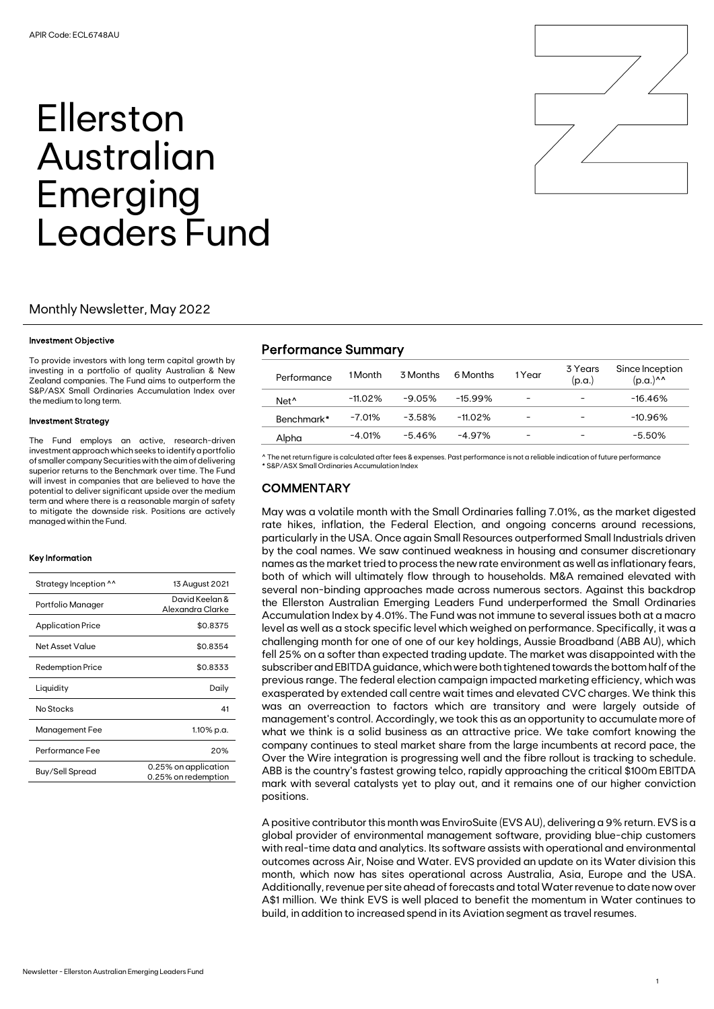# Ellerston Australian Emerging Leaders Fund

## Monthly Newsletter, May 2022

#### Investment Objective

To provide investors with long term capital growth by investing in a portfolio of quality Australian & New Zealand companies. The Fund aims to outperform the S&P/ASX Small Ordinaries Accumulation Index over the medium to long term.

#### Investment Strategy

The Fund employs an active, research-driven investment approach which seeks to identify a portfolio of smaller company Securities with the aim of delivering superior returns to the Benchmark over time. The Fund will invest in companies that are believed to have the potential to deliver significant upside over the medium term and where there is a reasonable margin of safety to mitigate the downside risk. Positions are actively managed within the Fund.

#### Key Information

| Strategy Inception ^^    | 13 August 2021                              |  |  |
|--------------------------|---------------------------------------------|--|--|
| Portfolio Manager        | David Keelan &<br>Alexandra Clarke          |  |  |
| <b>Application Price</b> | \$0.8375                                    |  |  |
| Net Asset Value          | \$0.8354                                    |  |  |
| <b>Redemption Price</b>  | \$0.8333                                    |  |  |
| Liquidity                | Daily                                       |  |  |
| No Stocks                | 41                                          |  |  |
| Management Fee           | 1.10% p.a.                                  |  |  |
| Performance Fee          | 20%                                         |  |  |
| Buy/Sell Spread          | 0.25% on application<br>0.25% on redemption |  |  |



# Performance Summary

| Performance      | 1 Month   | 3 Months  | 6 Months  | 1 Year                   | 3 Years<br>(p.a.)        | Since Inception<br>$(p.a.)^{\wedge \wedge}$ |
|------------------|-----------|-----------|-----------|--------------------------|--------------------------|---------------------------------------------|
| Net <sup>^</sup> | -11.02%   | $-9.05\%$ | $-15.99%$ | $\overline{\phantom{0}}$ |                          | $-16.46\%$                                  |
| Benchmark*       | $-7.01%$  | $-3.58\%$ | -11.02%   | -                        |                          | $-10.96\%$                                  |
| Alpha            | $-4.01\%$ | $-5.46%$  | $-4.97\%$ | $\overline{\phantom{0}}$ | $\overline{\phantom{a}}$ | $-5.50%$                                    |

^ The net return figure is calculated after fees & expenses. Past performance is not a reliable indication of future performance \* S&P/ASX Small Ordinaries Accumulation Index

## **COMMENTARY**

May was a volatile month with the Small Ordinaries falling 7.01%, as the market digested rate hikes, inflation, the Federal Election, and ongoing concerns around recessions, particularly in the USA. Once again Small Resources outperformed Small Industrials driven by the coal names. We saw continued weakness in housing and consumer discretionary names as the market tried to process the new rate environment as well as inflationary fears, both of which will ultimately flow through to households. M&A remained elevated with several non-binding approaches made across numerous sectors. Against this backdrop the Ellerston Australian Emerging Leaders Fund underperformed the Small Ordinaries Accumulation Index by 4.01%. The Fund was not immune to several issues both at a macro level as well as a stock specific level which weighed on performance. Specifically, it was a challenging month for one of one of our key holdings, Aussie Broadband (ABB AU), which fell 25% on a softer than expected trading update. The market was disappointed with the subscriber and EBITDA guidance, which were both tightened towards the bottom half of the previous range. The federal election campaign impacted marketing efficiency, which was exasperated by extended call centre wait times and elevated CVC charges. We think this was an overreaction to factors which are transitory and were largely outside of management's control. Accordingly, we took this as an opportunity to accumulate more of what we think is a solid business as an attractive price. We take comfort knowing the company continues to steal market share from the large incumbents at record pace, the Over the Wire integration is progressing well and the fibre rollout is tracking to schedule. ABB is the country's fastest growing telco, rapidly approaching the critical \$100m EBITDA mark with several catalysts yet to play out, and it remains one of our higher conviction positions.

A positive contributor this month was EnviroSuite (EVS AU), delivering a 9% return. EVS is a global provider of environmental management software, providing blue-chip customers with real-time data and analytics. Its software assists with operational and environmental outcomes across Air, Noise and Water. EVS provided an update on its Water division this month, which now has sites operational across Australia, Asia, Europe and the USA. Additionally, revenue per site ahead of forecasts and total Water revenue to date now over A\$1 million. We think EVS is well placed to benefit the momentum in Water continues to build, in addition to increased spend in its Aviation segment as travel resumes.